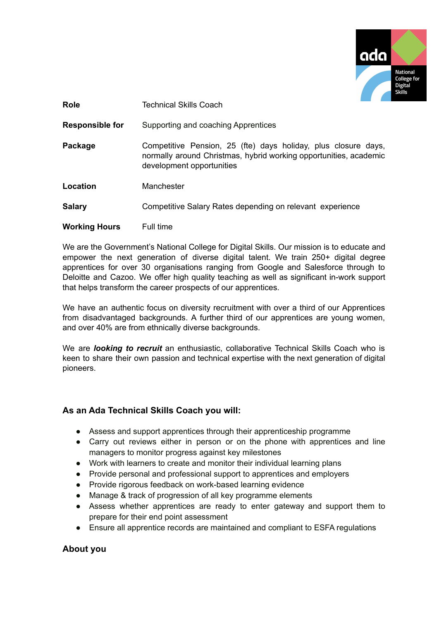

| <b>Role</b>            | Technical Skills Coach                                                                                                                                           |
|------------------------|------------------------------------------------------------------------------------------------------------------------------------------------------------------|
| <b>Responsible for</b> | Supporting and coaching Apprentices                                                                                                                              |
| Package                | Competitive Pension, 25 (fte) days holiday, plus closure days,<br>normally around Christmas, hybrid working opportunities, academic<br>development opportunities |
| Location               | Manchester                                                                                                                                                       |
| <b>Salary</b>          | Competitive Salary Rates depending on relevant experience                                                                                                        |
| <b>Working Hours</b>   | Full time                                                                                                                                                        |

We are the Government's National College for Digital Skills. Our mission is to educate and empower the next generation of diverse digital talent. We train 250+ digital degree apprentices for over 30 organisations ranging from Google and Salesforce through to Deloitte and Cazoo. We offer high quality teaching as well as significant in-work support that helps transform the career prospects of our apprentices.

We have an authentic focus on diversity recruitment with over a third of our Apprentices from disadvantaged backgrounds. A further third of our apprentices are young women, and over 40% are from ethnically diverse backgrounds.

We are *looking to recruit* an enthusiastic, collaborative Technical Skills Coach who is keen to share their own passion and technical expertise with the next generation of digital pioneers.

## **As an Ada Technical Skills Coach you will:**

- Assess and support apprentices through their apprenticeship programme
- Carry out reviews either in person or on the phone with apprentices and line managers to monitor progress against key milestones
- Work with learners to create and monitor their individual learning plans
- Provide personal and professional support to apprentices and employers
- Provide rigorous feedback on work-based learning evidence
- Manage & track of progression of all key programme elements
- Assess whether apprentices are ready to enter gateway and support them to prepare for their end point assessment
- Ensure all apprentice records are maintained and compliant to ESFA regulations

## **About you**